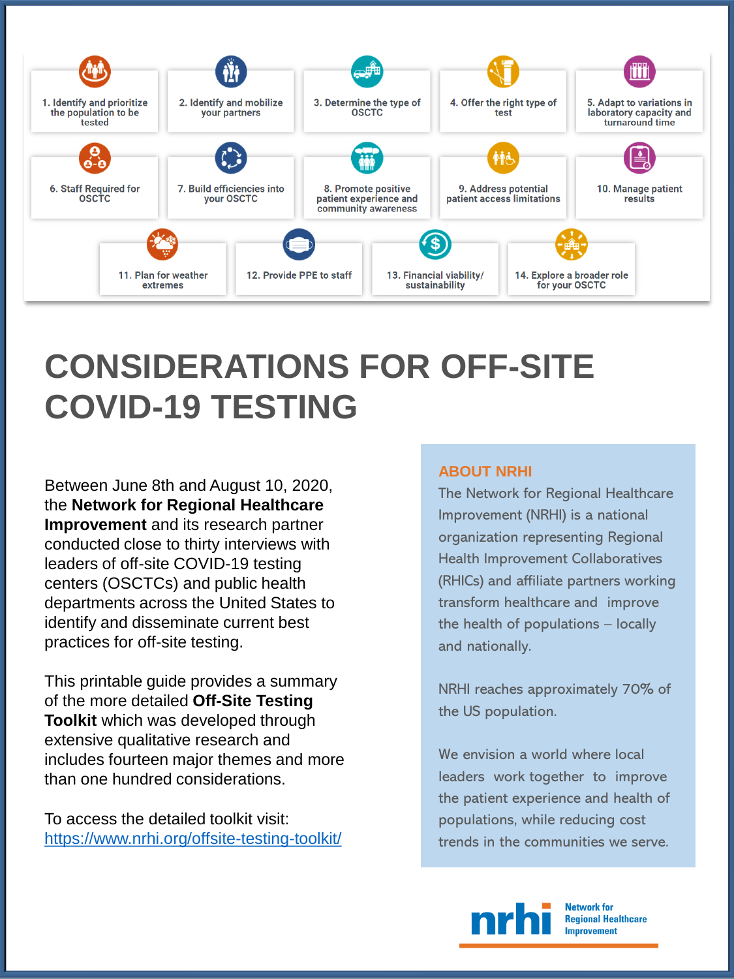

# **CONSIDERATIONS FOR OFF-SITE COVID-19 TESTING**

Between June 8th and August 10, 2020, the **Network for Regional Healthcare Improvement** and its research partner conducted close to thirty interviews with leaders of off-site COVID-19 testing centers (OSCTCs) and public health departments across the United States to identify and disseminate current best practices for off-site testing.

This printable guide provides a summary of the more detailed **Off-Site Testing Toolkit** which was developed through extensive qualitative research and includes fourteen major themes and more than one hundred considerations.

To access the detailed toolkit visit: <https://www.nrhi.org/offsite-testing-toolkit/>

# **ABOUT NRHI**

The Network for Regional Healthcare Improvement (NRHI) is a national organization representing Regional Health Improvement Collaboratives (RHICs) and affiliate partners working transform healthcare and improve the health of populations – locally and nationally.

NRHI reaches approximately 70% of the US population.

We envision a world where local leaders work together to improve the patient experience and health of populations, while reducing cost trends in the communities we serve.



**Network for Regional Healthcare Improvement**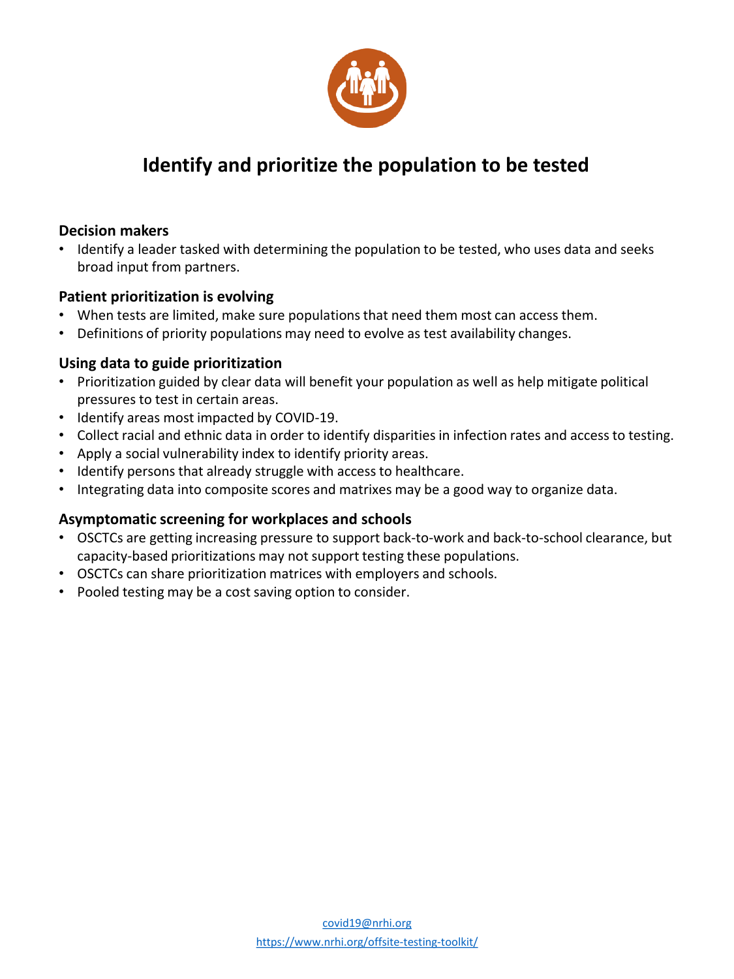

# **Identify and prioritize the population to be tested**

# **Decision makers**

• Identify a leader tasked with determining the population to be tested, who uses data and seeks broad input from partners.

# **Patient prioritization is evolving**

- When tests are limited, make sure populations that need them most can access them.
- Definitions of priority populations may need to evolve as test availability changes.

# **Using data to guide prioritization**

- Prioritization guided by clear data will benefit your population as well as help mitigate political pressures to test in certain areas.
- Identify areas most impacted by COVID-19.
- Collect racial and ethnic data in order to identify disparities in infection rates and access to testing.
- Apply a social vulnerability index to identify priority areas.
- Identify persons that already struggle with access to healthcare.
- Integrating data into composite scores and matrixes may be a good way to organize data.

# **Asymptomatic screening for workplaces and schools**

- OSCTCs are getting increasing pressure to support back-to-work and back-to-school clearance, but capacity-based prioritizations may not support testing these populations.
- OSCTCs can share prioritization matrices with employers and schools.
- Pooled testing may be a cost saving option to consider.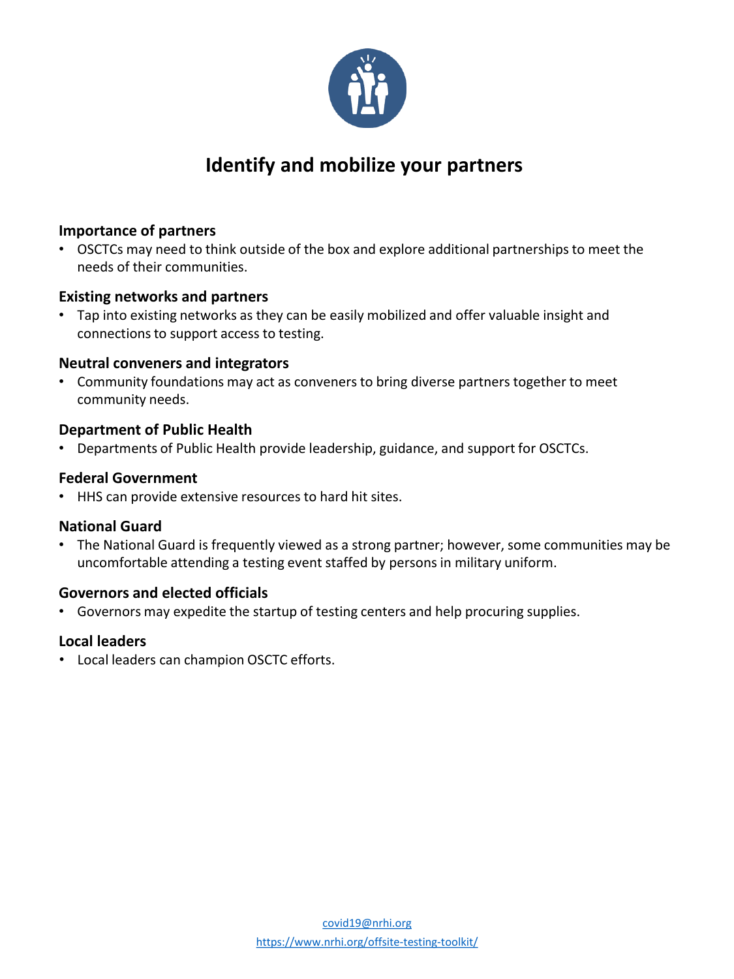

# **Identify and mobilize your partners**

# **Importance of partners**

• OSCTCs may need to think outside of the box and explore additional partnerships to meet the needs of their communities.

# **Existing networks and partners**

• Tap into existing networks as they can be easily mobilized and offer valuable insight and connections to support access to testing.

#### **Neutral conveners and integrators**

• Community foundations may act as conveners to bring diverse partners together to meet community needs.

#### **Department of Public Health**

• Departments of Public Health provide leadership, guidance, and support for OSCTCs.

# **Federal Government**

• HHS can provide extensive resources to hard hit sites.

# **National Guard**

• The National Guard is frequently viewed as a strong partner; however, some communities may be uncomfortable attending a testing event staffed by persons in military uniform.

# **Governors and elected officials**

• Governors may expedite the startup of testing centers and help procuring supplies.

# **Local leaders**

• Local leaders can champion OSCTC efforts.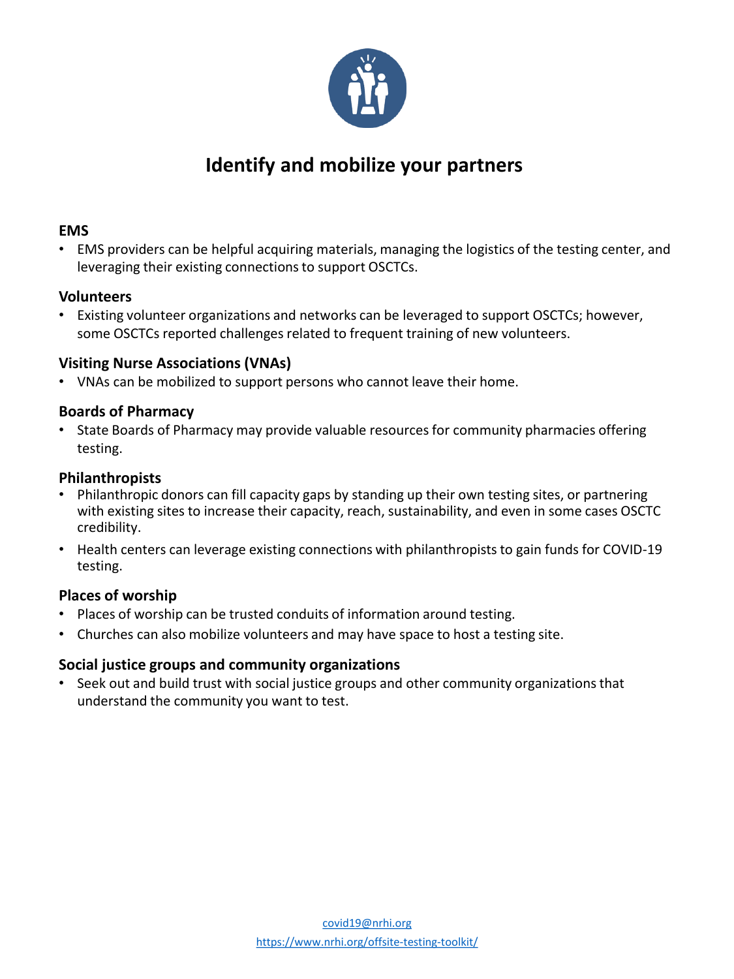

# **Identify and mobilize your partners**

# **EMS**

• EMS providers can be helpful acquiring materials, managing the logistics of the testing center, and leveraging their existing connections to support OSCTCs.

# **Volunteers**

• Existing volunteer organizations and networks can be leveraged to support OSCTCs; however, some OSCTCs reported challenges related to frequent training of new volunteers.

# **Visiting Nurse Associations (VNAs)**

• VNAs can be mobilized to support persons who cannot leave their home.

# **Boards of Pharmacy**

• State Boards of Pharmacy may provide valuable resources for community pharmacies offering testing.

# **Philanthropists**

- Philanthropic donors can fill capacity gaps by standing up their own testing sites, or partnering with existing sites to increase their capacity, reach, sustainability, and even in some cases OSCTC credibility.
- Health centers can leverage existing connections with philanthropists to gain funds for COVID-19 testing.

# **Places of worship**

- Places of worship can be trusted conduits of information around testing.
- Churches can also mobilize volunteers and may have space to host a testing site.

# **Social justice groups and community organizations**

• Seek out and build trust with social justice groups and other community organizations that understand the community you want to test.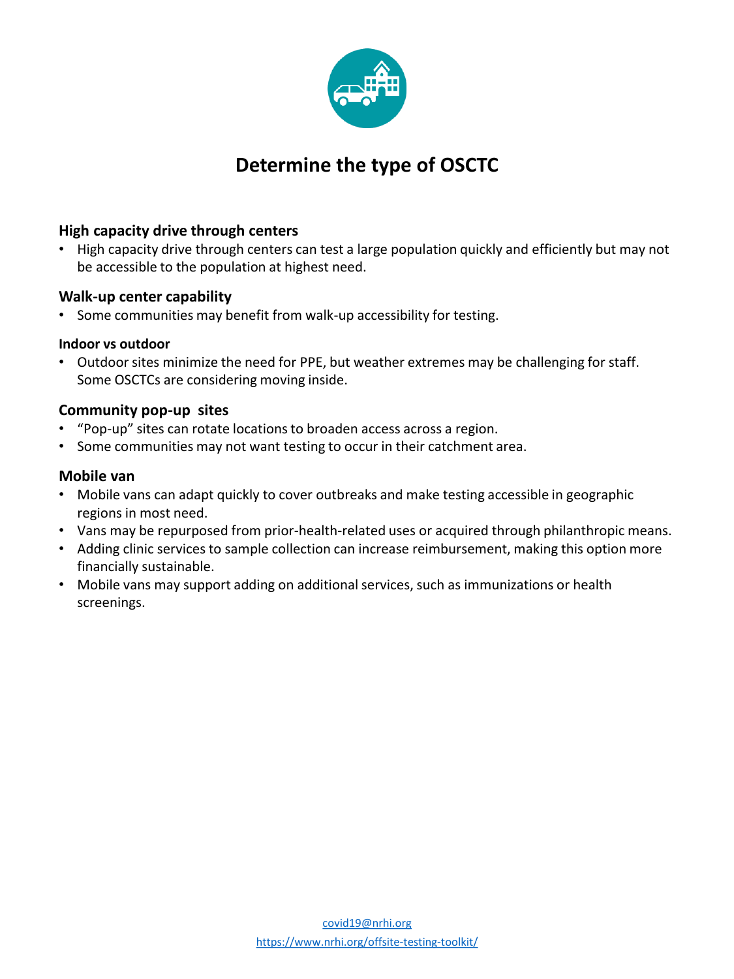

# **Determine the type of OSCTC**

# **High capacity drive through centers**

• High capacity drive through centers can test a large population quickly and efficiently but may not be accessible to the population at highest need.

# **Walk-up center capability**

Some communities may benefit from walk-up accessibility for testing.

#### **Indoor vs outdoor**

• Outdoor sites minimize the need for PPE, but weather extremes may be challenging for staff. Some OSCTCs are considering moving inside.

# **Community pop-up sites**

- "Pop-up" sites can rotate locations to broaden access across a region.
- Some communities may not want testing to occur in their catchment area.

# **Mobile van**

- Mobile vans can adapt quickly to cover outbreaks and make testing accessible in geographic regions in most need.
- Vans may be repurposed from prior-health-related uses or acquired through philanthropic means.
- Adding clinic services to sample collection can increase reimbursement, making this option more financially sustainable.
- Mobile vans may support adding on additional services, such as immunizations or health screenings.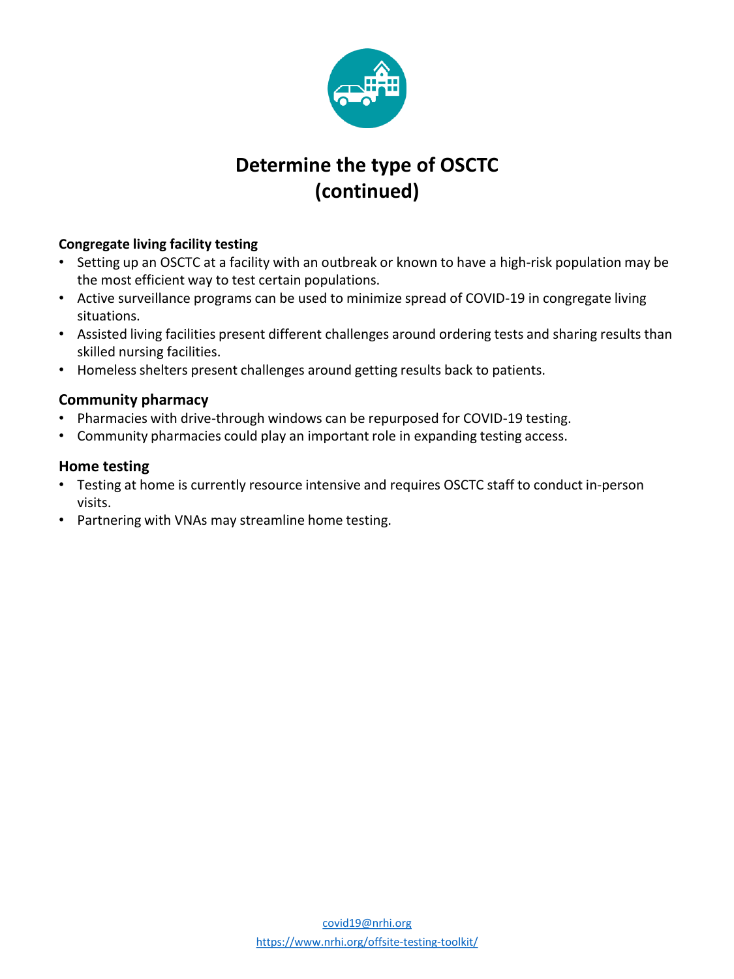

# **Determine the type of OSCTC (continued)**

# **Congregate living facility testing**

- Setting up an OSCTC at a facility with an outbreak or known to have a high-risk population may be the most efficient way to test certain populations.
- Active surveillance programs can be used to minimize spread of COVID-19 in congregate living situations.
- Assisted living facilities present different challenges around ordering tests and sharing results than skilled nursing facilities.
- Homeless shelters present challenges around getting results back to patients.

# **Community pharmacy**

- Pharmacies with drive-through windows can be repurposed for COVID-19 testing.
- Community pharmacies could play an important role in expanding testing access.

# **Home testing**

- Testing at home is currently resource intensive and requires OSCTC staff to conduct in-person visits.
- Partnering with VNAs may streamline home testing.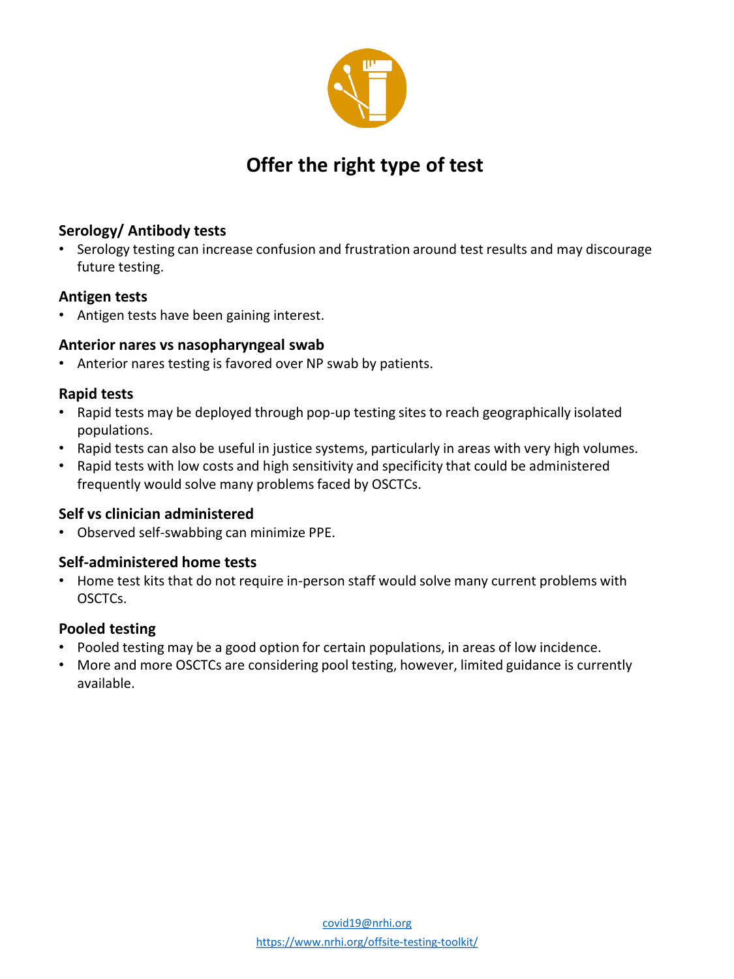

# **Offer the right type of test**

# **Serology/ Antibody tests**

• Serology testing can increase confusion and frustration around test results and may discourage future testing.

# **Antigen tests**

• Antigen tests have been gaining interest.

# **Anterior nares vs nasopharyngeal swab**

• Anterior nares testing is favored over NP swab by patients.

# **Rapid tests**

- Rapid tests may be deployed through pop-up testing sites to reach geographically isolated populations.
- Rapid tests can also be useful in justice systems, particularly in areas with very high volumes.
- Rapid tests with low costs and high sensitivity and specificity that could be administered frequently would solve many problems faced by OSCTCs.

# **Self vs clinician administered**

• Observed self-swabbing can minimize PPE.

# **Self-administered home tests**

• Home test kits that do not require in-person staff would solve many current problems with OSCTCs.

# **Pooled testing**

- Pooled testing may be a good option for certain populations, in areas of low incidence.
- More and more OSCTCs are considering pool testing, however, limited guidance is currently available.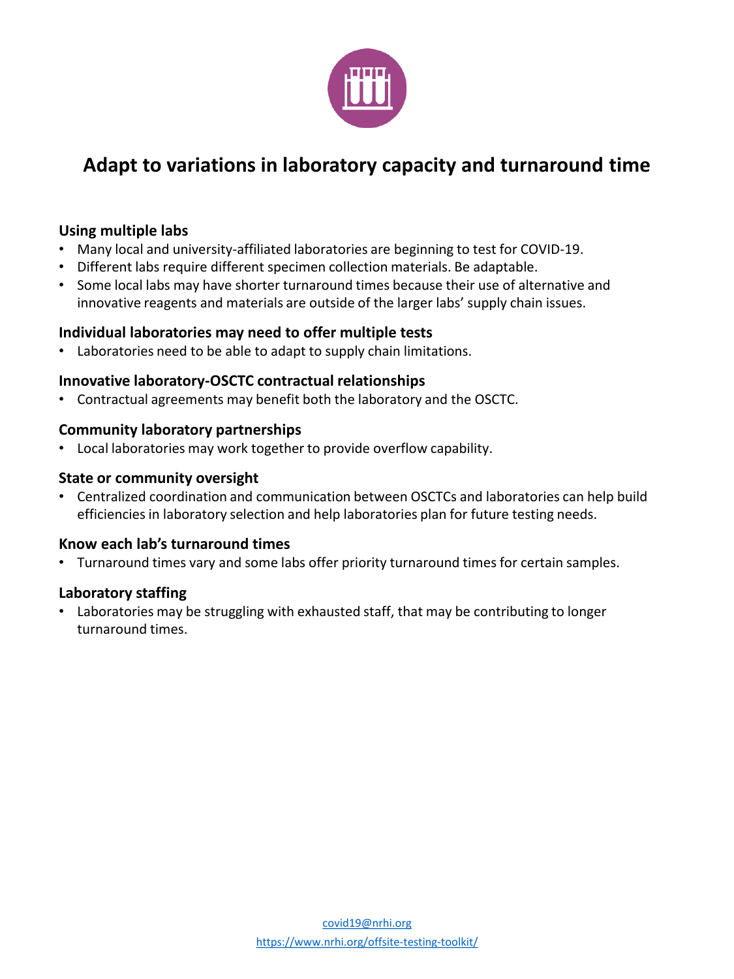

# **Adapt to variations in laboratory capacity and turnaround time**

# **Using multiple labs**

- Many local and university-affiliated laboratories are beginning to test for COVID-19.
- Different labs require different specimen collection materials. Be adaptable.
- Some local labs may have shorter turnaround times because their use of alternative and innovative reagents and materials are outside of the larger labs' supply chain issues.

# **Individual laboratories may need to offer multiple tests**

Laboratories need to be able to adapt to supply chain limitations.

#### **Innovative laboratory-OSCTC contractual relationships**

• Contractual agreements may benefit both the laboratory and the OSCTC.

#### **Community laboratory partnerships**

• Local laboratories may work together to provide overflow capability.

#### **State or community oversight**

• Centralized coordination and communication between OSCTCs and laboratories can help build efficiencies in laboratory selection and help laboratories plan for future testing needs.

# **Know each lab's turnaround times**

• Turnaround times vary and some labs offer priority turnaround times for certain samples.

#### **Laboratory staffing**

• Laboratories may be struggling with exhausted staff, that may be contributing to longer turnaround times.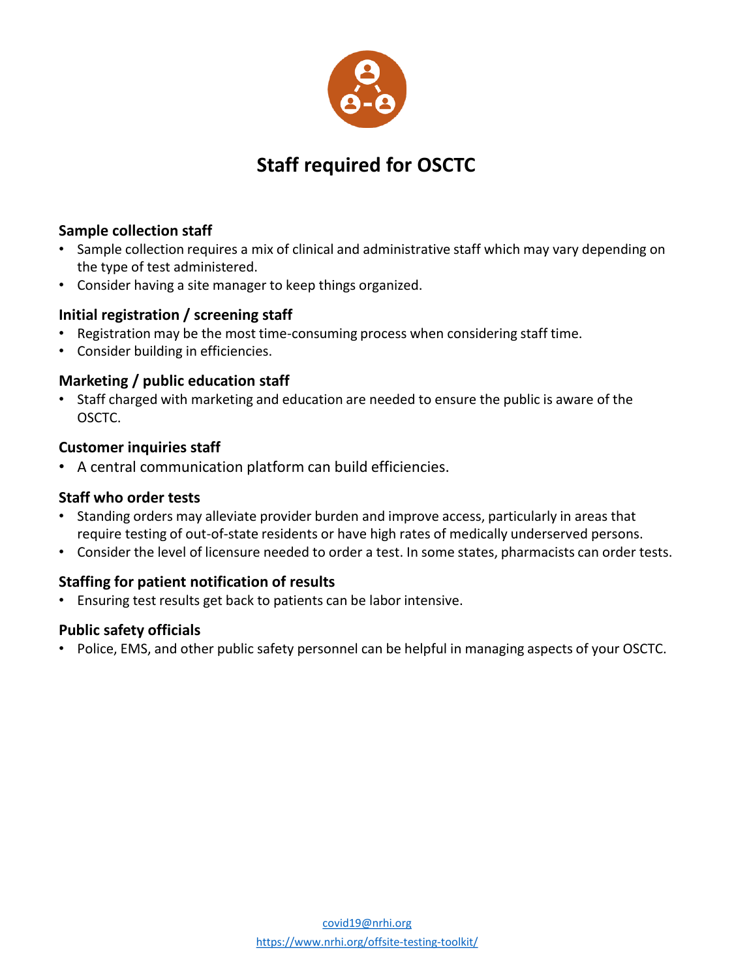

# **Staff required for OSCTC**

# **Sample collection staff**

- Sample collection requires a mix of clinical and administrative staff which may vary depending on the type of test administered.
- Consider having a site manager to keep things organized.

# **Initial registration / screening staff**

- Registration may be the most time-consuming process when considering staff time.
- Consider building in efficiencies.

# **Marketing / public education staff**

• Staff charged with marketing and education are needed to ensure the public is aware of the OSCTC.

#### **Customer inquiries staff**

• A central communication platform can build efficiencies.

# **Staff who order tests**

- Standing orders may alleviate provider burden and improve access, particularly in areas that require testing of out-of-state residents or have high rates of medically underserved persons.
- Consider the level of licensure needed to order a test. In some states, pharmacists can order tests.

# **Staffing for patient notification of results**

• Ensuring test results get back to patients can be labor intensive.

# **Public safety officials**

• Police, EMS, and other public safety personnel can be helpful in managing aspects of your OSCTC.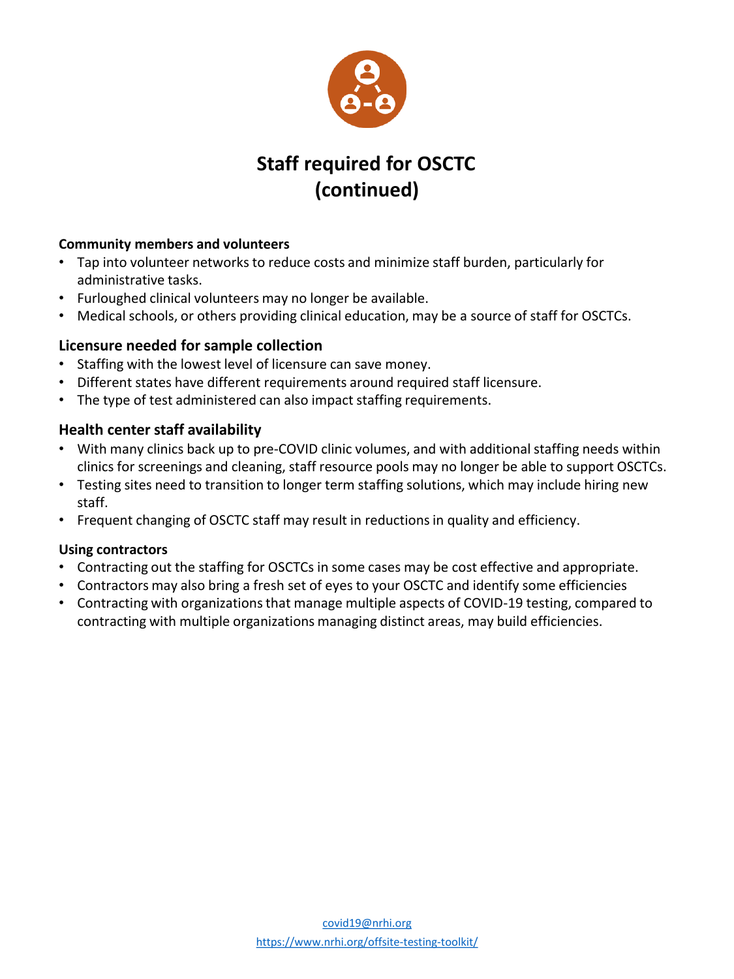

# **Staff required for OSCTC (continued)**

# **Community members and volunteers**

- Tap into volunteer networks to reduce costs and minimize staff burden, particularly for administrative tasks.
- Furloughed clinical volunteers may no longer be available.
- Medical schools, or others providing clinical education, may be a source of staff for OSCTCs.

# **Licensure needed for sample collection**

- Staffing with the lowest level of licensure can save money.
- Different states have different requirements around required staff licensure.
- The type of test administered can also impact staffing requirements.

# **Health center staff availability**

- With many clinics back up to pre-COVID clinic volumes, and with additional staffing needs within clinics for screenings and cleaning, staff resource pools may no longer be able to support OSCTCs.
- Testing sites need to transition to longer term staffing solutions, which may include hiring new staff.
- Frequent changing of OSCTC staff may result in reductions in quality and efficiency.

# **Using contractors**

- Contracting out the staffing for OSCTCs in some cases may be cost effective and appropriate.
- Contractors may also bring a fresh set of eyes to your OSCTC and identify some efficiencies
- Contracting with organizations that manage multiple aspects of COVID-19 testing, compared to contracting with multiple organizations managing distinct areas, may build efficiencies.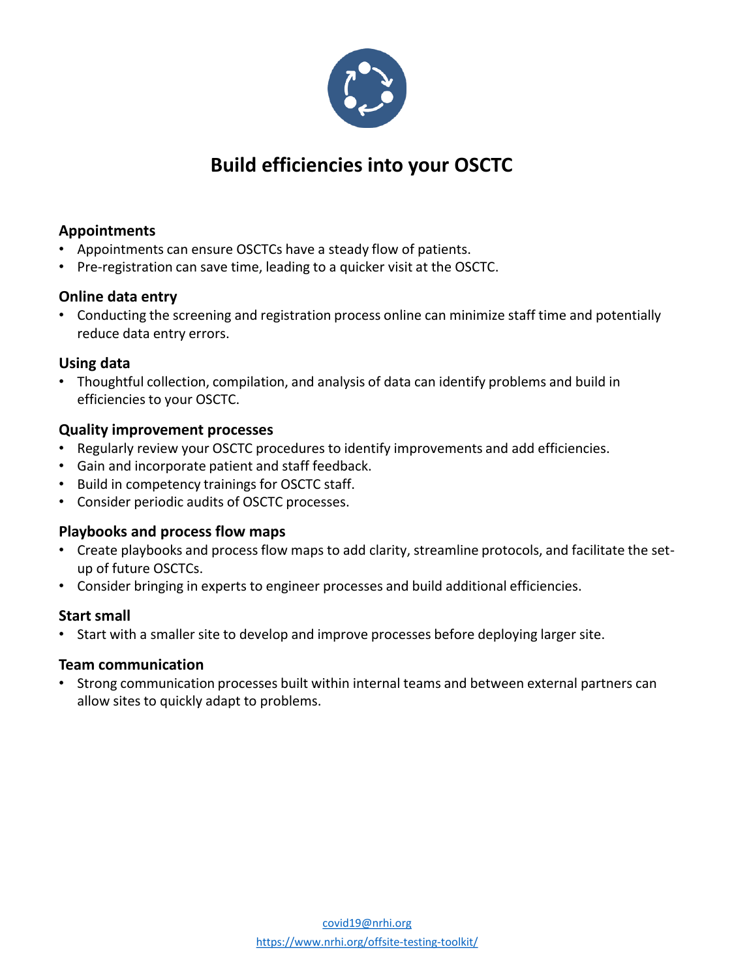

# **Build efficiencies into your OSCTC**

# **Appointments**

- Appointments can ensure OSCTCs have a steady flow of patients.
- Pre-registration can save time, leading to a quicker visit at the OSCTC.

# **Online data entry**

• Conducting the screening and registration process online can minimize staff time and potentially reduce data entry errors.

# **Using data**

• Thoughtful collection, compilation, and analysis of data can identify problems and build in efficiencies to your OSCTC.

# **Quality improvement processes**

- Regularly review your OSCTC procedures to identify improvements and add efficiencies.
- Gain and incorporate patient and staff feedback.
- Build in competency trainings for OSCTC staff.
- Consider periodic audits of OSCTC processes.

# **Playbooks and process flow maps**

- Create playbooks and process flow maps to add clarity, streamline protocols, and facilitate the setup of future OSCTCs.
- Consider bringing in experts to engineer processes and build additional efficiencies.

# **Start small**

• Start with a smaller site to develop and improve processes before deploying larger site.

# **Team communication**

• Strong communication processes built within internal teams and between external partners can allow sites to quickly adapt to problems.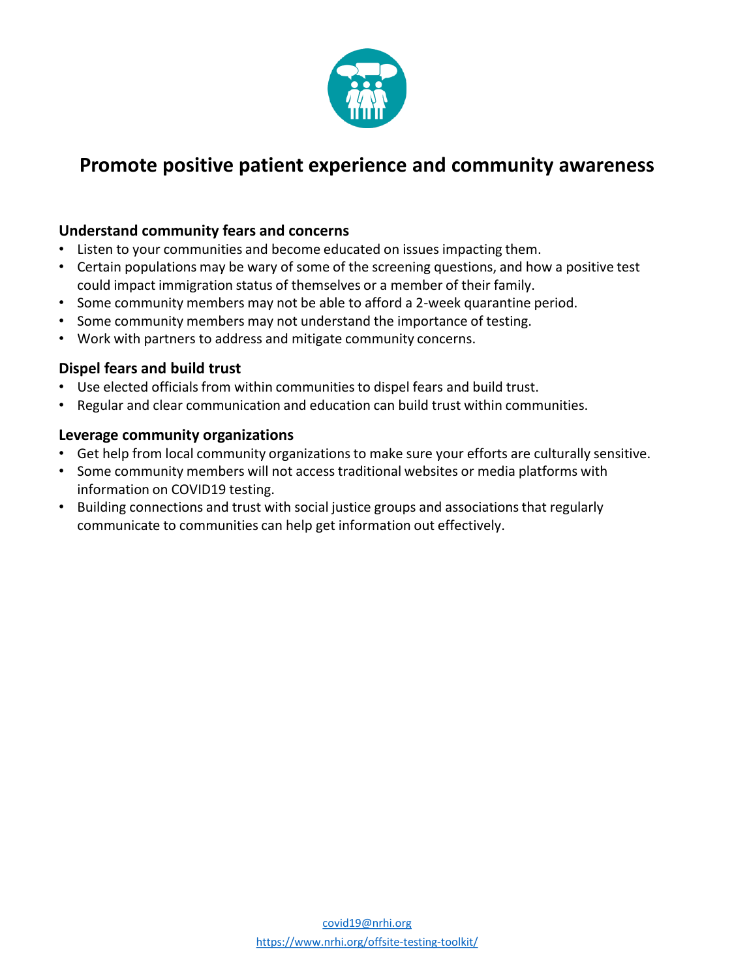

# **Promote positive patient experience and community awareness**

# **Understand community fears and concerns**

- Listen to your communities and become educated on issues impacting them.
- Certain populations may be wary of some of the screening questions, and how a positive test could impact immigration status of themselves or a member of their family.
- Some community members may not be able to afford a 2-week quarantine period.
- Some community members may not understand the importance of testing.
- Work with partners to address and mitigate community concerns.

# **Dispel fears and build trust**

- Use elected officials from within communities to dispel fears and build trust.
- Regular and clear communication and education can build trust within communities.

#### **Leverage community organizations**

- Get help from local community organizations to make sure your efforts are culturally sensitive.
- Some community members will not access traditional websites or media platforms with information on COVID19 testing.
- Building connections and trust with social justice groups and associations that regularly communicate to communities can help get information out effectively.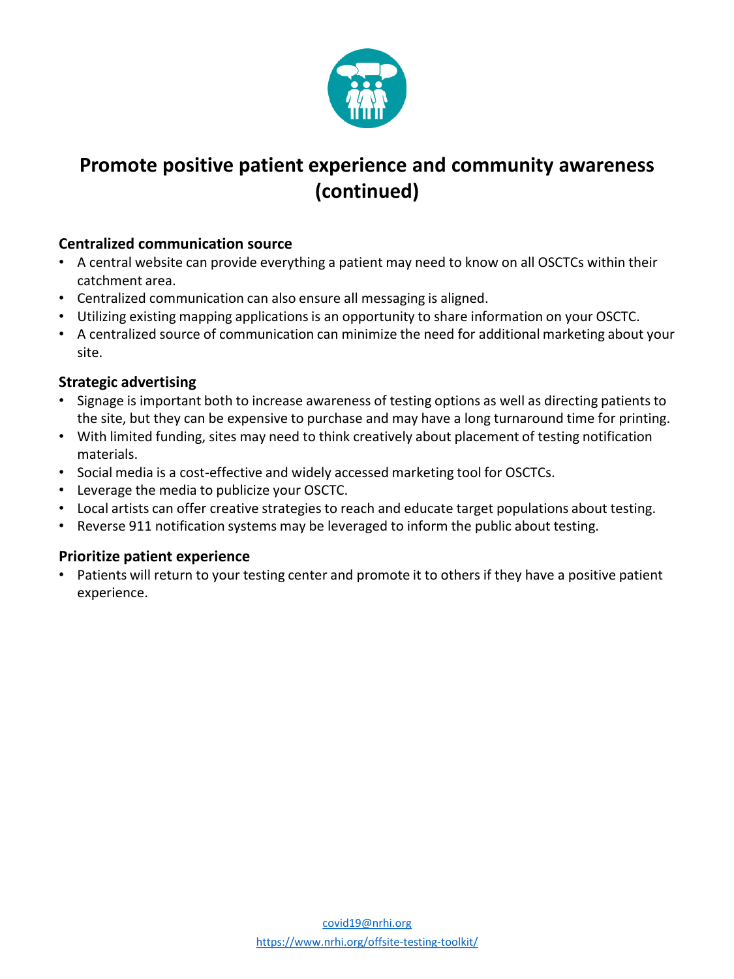

# **Promote positive patient experience and community awareness (continued)**

# **Centralized communication source**

- A central website can provide everything a patient may need to know on all OSCTCs within their catchment area.
- Centralized communication can also ensure all messaging is aligned.
- Utilizing existing mapping applications is an opportunity to share information on your OSCTC.
- A centralized source of communication can minimize the need for additional marketing about your site.

# **Strategic advertising**

- Signage is important both to increase awareness of testing options as well as directing patients to the site, but they can be expensive to purchase and may have a long turnaround time for printing.
- With limited funding, sites may need to think creatively about placement of testing notification materials.
- Social media is a cost-effective and widely accessed marketing tool for OSCTCs.
- Leverage the media to publicize your OSCTC.
- Local artists can offer creative strategies to reach and educate target populations about testing.
- Reverse 911 notification systems may be leveraged to inform the public about testing.

# **Prioritize patient experience**

• Patients will return to your testing center and promote it to others if they have a positive patient experience.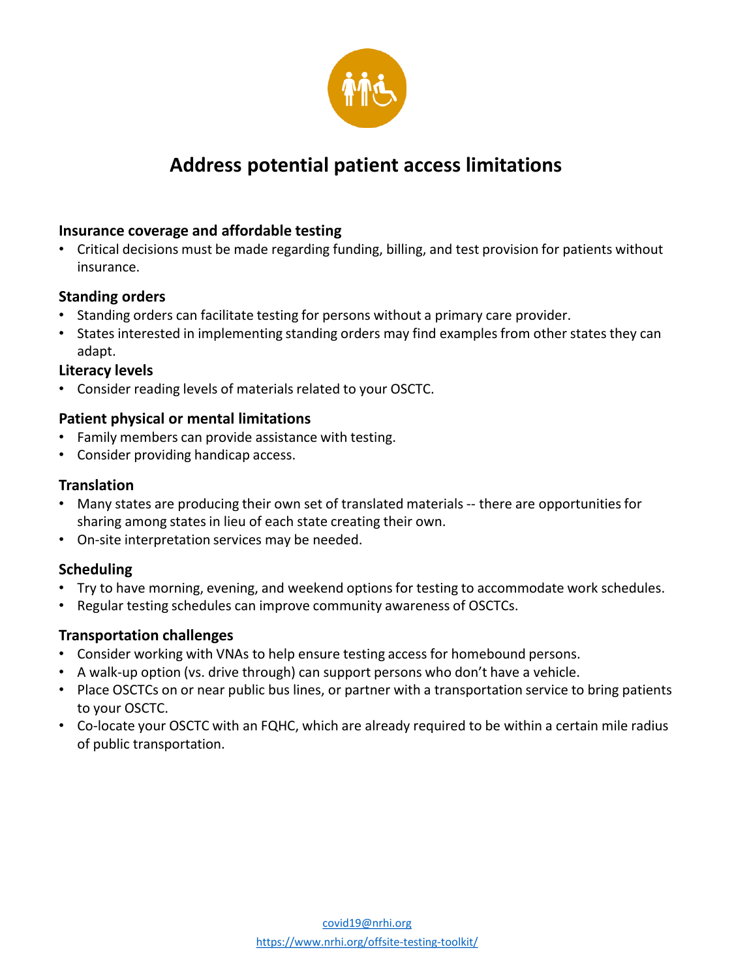

# **Address potential patient access limitations**

# **Insurance coverage and affordable testing**

• Critical decisions must be made regarding funding, billing, and test provision for patients without insurance.

# **Standing orders**

- Standing orders can facilitate testing for persons without a primary care provider.
- States interested in implementing standing orders may find examples from other states they can adapt.

# **Literacy levels**

• Consider reading levels of materials related to your OSCTC.

# **Patient physical or mental limitations**

- Family members can provide assistance with testing.
- Consider providing handicap access.

# **Translation**

- Many states are producing their own set of translated materials -- there are opportunities for sharing among states in lieu of each state creating their own.
- On-site interpretation services may be needed.

# **Scheduling**

- Try to have morning, evening, and weekend options for testing to accommodate work schedules.
- Regular testing schedules can improve community awareness of OSCTCs.

# **Transportation challenges**

- Consider working with VNAs to help ensure testing access for homebound persons.
- A walk-up option (vs. drive through) can support persons who don't have a vehicle.
- Place OSCTCs on or near public bus lines, or partner with a transportation service to bring patients to your OSCTC.
- Co-locate your OSCTC with an FQHC, which are already required to be within a certain mile radius of public transportation.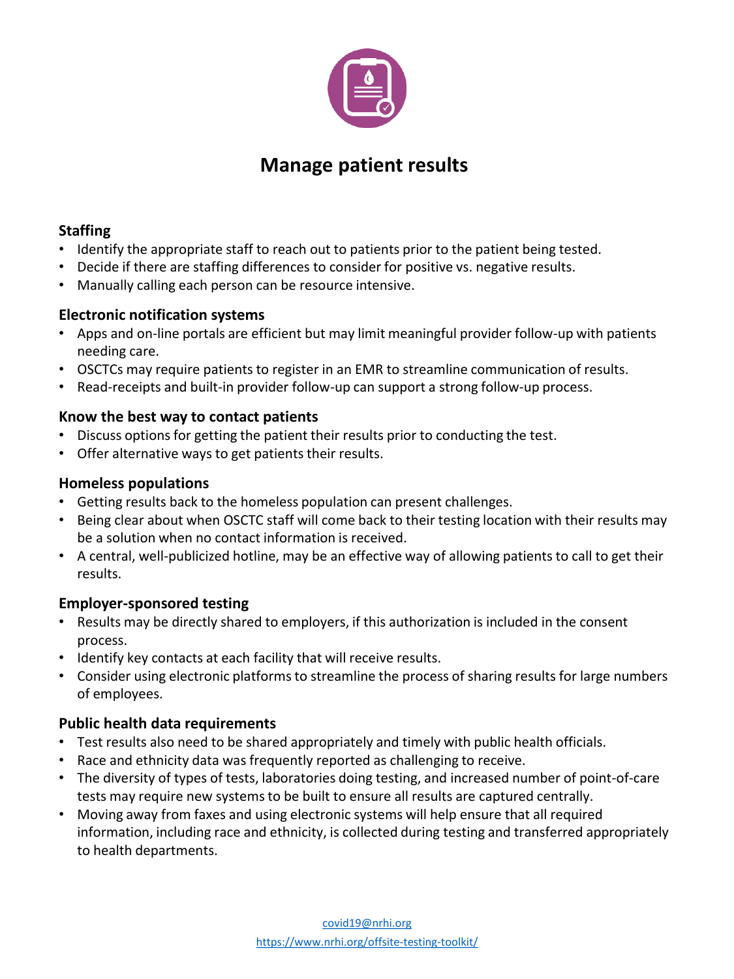

# **Manage patient results**

# **Staffing**

- Identify the appropriate staff to reach out to patients prior to the patient being tested.
- Decide if there are staffing differences to consider for positive vs. negative results.
- Manually calling each person can be resource intensive.

# **Electronic notification systems**

- Apps and on-line portals are efficient but may limit meaningful provider follow-up with patients needing care.
- OSCTCs may require patients to register in an EMR to streamline communication of results.
- Read-receipts and built-in provider follow-up can support a strong follow-up process.

# **Know the best way to contact patients**

- Discuss options for getting the patient their results prior to conducting the test.
- Offer alternative ways to get patients their results.

# **Homeless populations**

- Getting results back to the homeless population can present challenges.
- Being clear about when OSCTC staff will come back to their testing location with their results may be a solution when no contact information is received.
- A central, well-publicized hotline, may be an effective way of allowing patients to call to get their results.

# **Employer-sponsored testing**

- Results may be directly shared to employers, if this authorization is included in the consent process.
- Identify key contacts at each facility that will receive results.
- Consider using electronic platforms to streamline the process of sharing results for large numbers of employees.

# **Public health data requirements**

- Test results also need to be shared appropriately and timely with public health officials.
- Race and ethnicity data was frequently reported as challenging to receive.
- The diversity of types of tests, laboratories doing testing, and increased number of point-of-care tests may require new systems to be built to ensure all results are captured centrally.
- Moving away from faxes and using electronic systems will help ensure that all required information, including race and ethnicity, is collected during testing and transferred appropriately to health departments.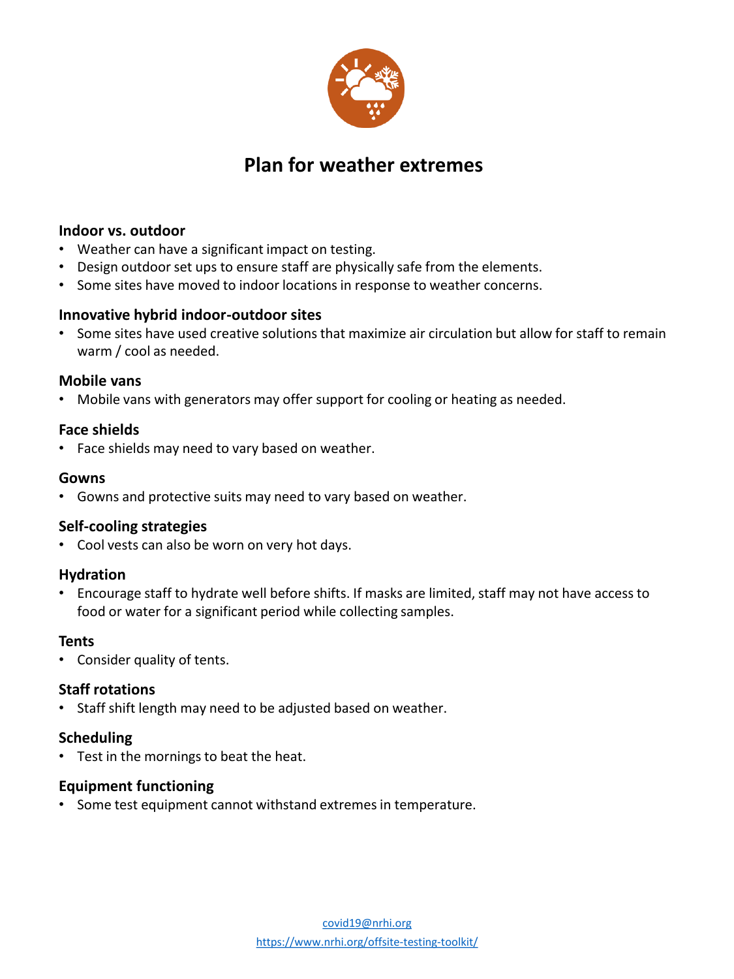

# **Plan for weather extremes**

#### **Indoor vs. outdoor**

- Weather can have a significant impact on testing.
- Design outdoor set ups to ensure staff are physically safe from the elements.
- Some sites have moved to indoor locations in response to weather concerns.

#### **Innovative hybrid indoor-outdoor sites**

• Some sites have used creative solutions that maximize air circulation but allow for staff to remain warm / cool as needed.

#### **Mobile vans**

• Mobile vans with generators may offer support for cooling or heating as needed.

#### **Face shields**

• Face shields may need to vary based on weather.

#### **Gowns**

• Gowns and protective suits may need to vary based on weather.

# **Self-cooling strategies**

• Cool vests can also be worn on very hot days.

#### **Hydration**

• Encourage staff to hydrate well before shifts. If masks are limited, staff may not have access to food or water for a significant period while collecting samples.

# **Tents**

• Consider quality of tents.

# **Staff rotations**

• Staff shift length may need to be adjusted based on weather.

# **Scheduling**

• Test in the mornings to beat the heat.

# **Equipment functioning**

• Some test equipment cannot withstand extremes in temperature.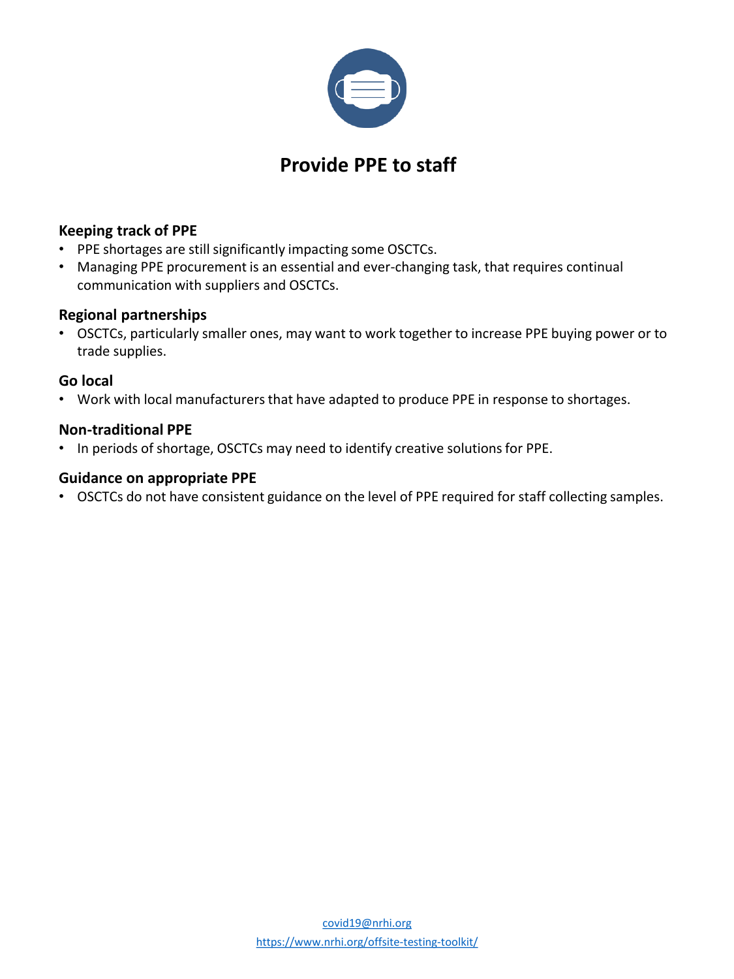

# **Provide PPE to staff**

# **Keeping track of PPE**

- PPE shortages are still significantly impacting some OSCTCs.
- Managing PPE procurement is an essential and ever-changing task, that requires continual communication with suppliers and OSCTCs.

# **Regional partnerships**

• OSCTCs, particularly smaller ones, may want to work together to increase PPE buying power or to trade supplies.

# **Go local**

• Work with local manufacturers that have adapted to produce PPE in response to shortages.

# **Non-traditional PPE**

• In periods of shortage, OSCTCs may need to identify creative solutions for PPE.

# **Guidance on appropriate PPE**

• OSCTCs do not have consistent guidance on the level of PPE required for staff collecting samples.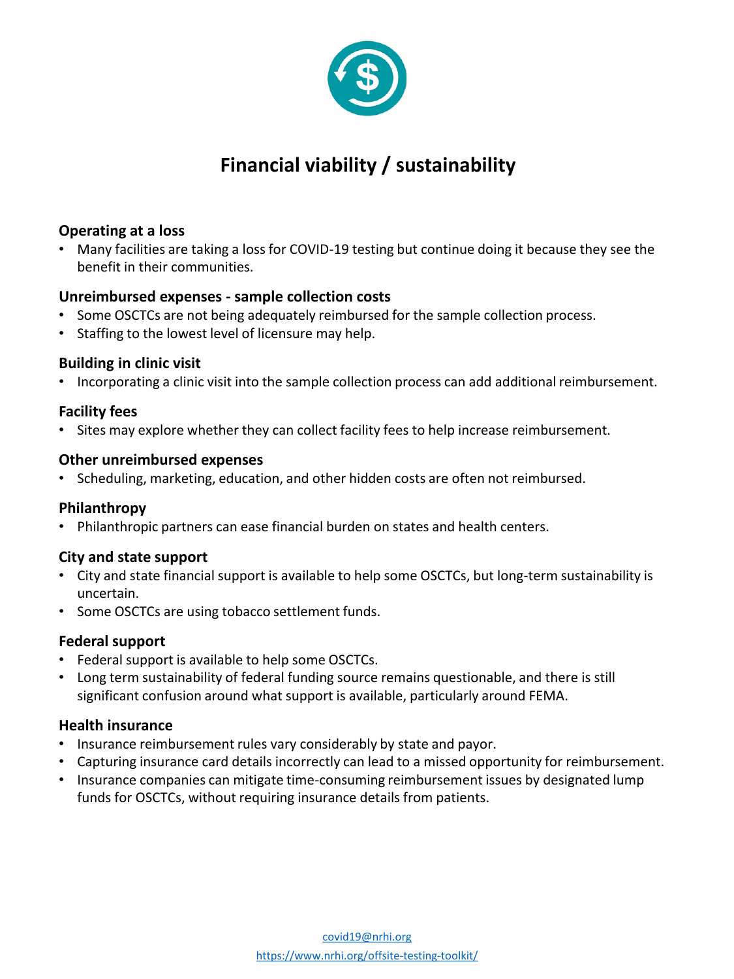

# **Financial viability / sustainability**

# **Operating at a loss**

• Many facilities are taking a loss for COVID-19 testing but continue doing it because they see the benefit in their communities.

# **Unreimbursed expenses - sample collection costs**

- Some OSCTCs are not being adequately reimbursed for the sample collection process.
- Staffing to the lowest level of licensure may help.

# **Building in clinic visit**

• Incorporating a clinic visit into the sample collection process can add additional reimbursement.

# **Facility fees**

• Sites may explore whether they can collect facility fees to help increase reimbursement.

# **Other unreimbursed expenses**

• Scheduling, marketing, education, and other hidden costs are often not reimbursed.

# **Philanthropy**

• Philanthropic partners can ease financial burden on states and health centers.

# **City and state support**

- City and state financial support is available to help some OSCTCs, but long-term sustainability is uncertain.
- Some OSCTCs are using tobacco settlement funds.

# **Federal support**

- Federal support is available to help some OSCTCs.
- Long term sustainability of federal funding source remains questionable, and there is still significant confusion around what support is available, particularly around FEMA.

# **Health insurance**

- Insurance reimbursement rules vary considerably by state and payor.
- Capturing insurance card details incorrectly can lead to a missed opportunity for reimbursement.
- Insurance companies can mitigate time-consuming reimbursement issues by designated lump funds for OSCTCs, without requiring insurance details from patients.